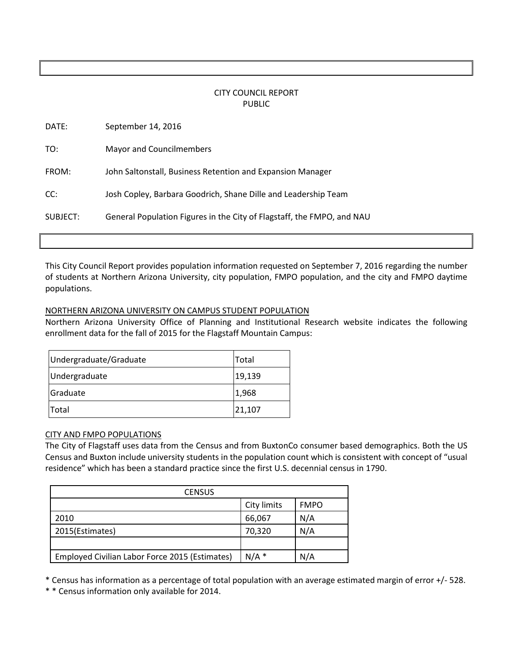# CITY COUNCIL REPORT PUBLIC

| DATE:    | September 14, 2016                                                     |
|----------|------------------------------------------------------------------------|
| TO:      | Mayor and Councilmembers                                               |
| FROM:    | John Saltonstall, Business Retention and Expansion Manager             |
| CC:      | Josh Copley, Barbara Goodrich, Shane Dille and Leadership Team         |
| SUBJECT: | General Population Figures in the City of Flagstaff, the FMPO, and NAU |
|          |                                                                        |

This City Council Report provides population information requested on September 7, 2016 regarding the number of students at Northern Arizona University, city population, FMPO population, and the city and FMPO daytime populations.

#### NORTHERN ARIZONA UNIVERSITY ON CAMPUS STUDENT POPULATION

Northern Arizona University Office of Planning and Institutional Research website indicates the following enrollment data for the fall of 2015 for the Flagstaff Mountain Campus:

| Undergraduate/Graduate | <b>Total</b> |
|------------------------|--------------|
| Undergraduate          | 19,139       |
| Graduate               | 1,968        |
| <b>Total</b>           | 21,107       |

#### CITY AND FMPO POPULATIONS

The City of Flagstaff uses data from the Census and from BuxtonCo consumer based demographics. Both the US Census and Buxton include university students in the population count which is consistent with concept of "usual residence" which has been a standard practice since the first U.S. decennial census in 1790.

| <b>CENSUS</b>                                  |             |             |  |  |
|------------------------------------------------|-------------|-------------|--|--|
|                                                | City limits | <b>FMPO</b> |  |  |
| 2010                                           | 66,067      | N/A         |  |  |
| 2015(Estimates)                                | 70,320      | N/A         |  |  |
|                                                |             |             |  |  |
| Employed Civilian Labor Force 2015 (Estimates) | $N/A$ *     | N/A         |  |  |

\* Census has information as a percentage of total population with an average estimated margin of error +/- 528.

\* \* Census information only available for 2014.